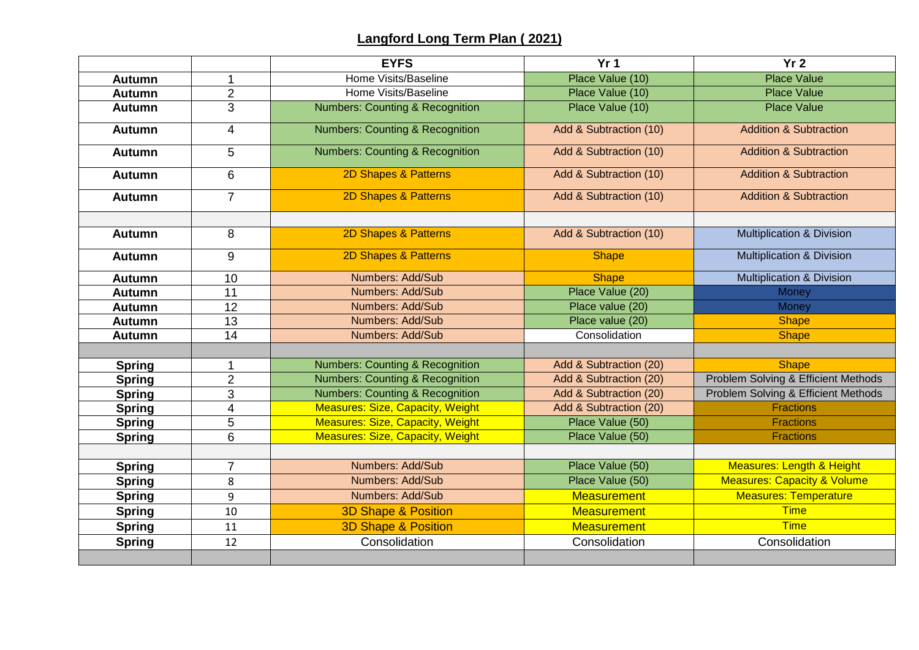## **Langford Long Term Plan ( 2021)**

|               |                          | <b>EYFS</b>                                | Yr <sub>1</sub>        | Yr <sub>2</sub>                        |  |
|---------------|--------------------------|--------------------------------------------|------------------------|----------------------------------------|--|
| <b>Autumn</b> | $\mathbf 1$              | Place Value (10)<br>Home Visits/Baseline   |                        | <b>Place Value</b>                     |  |
| <b>Autumn</b> | $\overline{2}$           | Home Visits/Baseline                       | Place Value (10)       | <b>Place Value</b>                     |  |
| <b>Autumn</b> | $\overline{3}$           | <b>Numbers: Counting &amp; Recognition</b> | Place Value (10)       | <b>Place Value</b>                     |  |
| <b>Autumn</b> | $\overline{\mathcal{A}}$ | <b>Numbers: Counting &amp; Recognition</b> | Add & Subtraction (10) | <b>Addition &amp; Subtraction</b>      |  |
| <b>Autumn</b> | 5                        | <b>Numbers: Counting &amp; Recognition</b> | Add & Subtraction (10) | <b>Addition &amp; Subtraction</b>      |  |
| <b>Autumn</b> | 6                        | 2D Shapes & Patterns                       | Add & Subtraction (10) | <b>Addition &amp; Subtraction</b>      |  |
| <b>Autumn</b> | $\overline{7}$           | 2D Shapes & Patterns                       | Add & Subtraction (10) | <b>Addition &amp; Subtraction</b>      |  |
|               |                          |                                            |                        |                                        |  |
| <b>Autumn</b> | 8                        | 2D Shapes & Patterns                       | Add & Subtraction (10) | <b>Multiplication &amp; Division</b>   |  |
| <b>Autumn</b> | 9                        | 2D Shapes & Patterns                       | <b>Shape</b>           | <b>Multiplication &amp; Division</b>   |  |
| <b>Autumn</b> | 10                       | <b>Numbers: Add/Sub</b>                    | <b>Shape</b>           | <b>Multiplication &amp; Division</b>   |  |
| <b>Autumn</b> | 11                       | Numbers: Add/Sub                           | Place Value (20)       | Money                                  |  |
| <b>Autumn</b> | 12                       | Numbers: Add/Sub                           | Place value (20)       | Money                                  |  |
| <b>Autumn</b> | 13                       | Numbers: Add/Sub                           | Place value (20)       | <b>Shape</b>                           |  |
| <b>Autumn</b> | 14                       | Numbers: Add/Sub                           | Consolidation          | <b>Shape</b>                           |  |
|               |                          |                                            |                        |                                        |  |
| <b>Spring</b> | 1                        | <b>Numbers: Counting &amp; Recognition</b> | Add & Subtraction (20) | <b>Shape</b>                           |  |
| <b>Spring</b> | $\overline{2}$           | <b>Numbers: Counting &amp; Recognition</b> | Add & Subtraction (20) | Problem Solving & Efficient Methods    |  |
| <b>Spring</b> | 3                        | <b>Numbers: Counting &amp; Recognition</b> | Add & Subtraction (20) | Problem Solving & Efficient Methods    |  |
| <b>Spring</b> | 4                        | <b>Measures: Size, Capacity, Weight</b>    | Add & Subtraction (20) | <b>Fractions</b>                       |  |
| <b>Spring</b> | 5                        | <b>Measures: Size, Capacity, Weight</b>    | Place Value (50)       | <b>Fractions</b>                       |  |
| <b>Spring</b> | 6                        | <b>Measures: Size, Capacity, Weight</b>    | Place Value (50)       | <b>Fractions</b>                       |  |
|               |                          |                                            |                        |                                        |  |
| <b>Spring</b> | 7                        | Numbers: Add/Sub                           | Place Value (50)       | Measures: Length & Height              |  |
| <b>Spring</b> | 8                        | Numbers: Add/Sub                           | Place Value (50)       | <b>Measures: Capacity &amp; Volume</b> |  |
| <b>Spring</b> | 9                        | Numbers: Add/Sub                           | <b>Measurement</b>     | Measures: Temperature                  |  |
| <b>Spring</b> | 10                       | <b>3D Shape &amp; Position</b>             | <b>Measurement</b>     | <b>Time</b>                            |  |
| <b>Spring</b> | 11                       | <b>3D Shape &amp; Position</b>             | <b>Measurement</b>     | <b>Time</b>                            |  |
| <b>Spring</b> | 12                       | Consolidation                              | Consolidation          | Consolidation                          |  |
|               |                          |                                            |                        |                                        |  |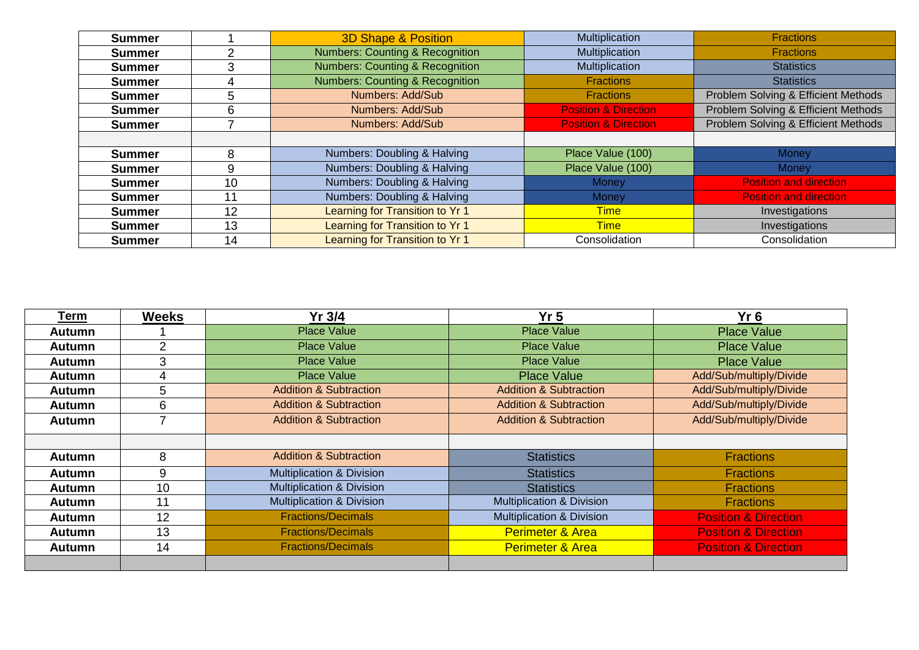| <b>Summer</b> |    | <b>3D Shape &amp; Position</b>              | Multiplication                  | <b>Fractions</b>                    |
|---------------|----|---------------------------------------------|---------------------------------|-------------------------------------|
| <b>Summer</b> |    | <b>Numbers: Counting &amp; Recognition</b>  | Multiplication                  | <b>Fractions</b>                    |
| <b>Summer</b> | 3  | <b>Numbers: Counting &amp; Recognition</b>  | Multiplication                  | <b>Statistics</b>                   |
| <b>Summer</b> |    | <b>Numbers: Counting &amp; Recognition</b>  | <b>Fractions</b>                | <b>Statistics</b>                   |
| <b>Summer</b> | 5  | Numbers: Add/Sub                            | <b>Fractions</b>                | Problem Solving & Efficient Methods |
| <b>Summer</b> | 6  | Numbers: Add/Sub                            | <b>Position &amp; Direction</b> | Problem Solving & Efficient Methods |
| <b>Summer</b> |    | Numbers: Add/Sub                            | <b>Position &amp; Direction</b> | Problem Solving & Efficient Methods |
|               |    |                                             |                                 |                                     |
| <b>Summer</b> | 8  | Numbers: Doubling & Halving                 | Place Value (100)               | <b>Money</b>                        |
| <b>Summer</b> | 9  | Numbers: Doubling & Halving                 | Place Value (100)               | Money                               |
| <b>Summer</b> | 10 | Numbers: Doubling & Halving                 | <b>Money</b>                    | <b>Position and direction</b>       |
| <b>Summer</b> | 11 | Numbers: Doubling & Halving<br><b>Money</b> |                                 | <b>Position and direction</b>       |
| <b>Summer</b> | 12 | Learning for Transition to Yr 1             | <b>Time</b>                     | Investigations                      |
| <b>Summer</b> | 13 | Learning for Transition to Yr 1             | <b>Time</b>                     | Investigations                      |
| <b>Summer</b> | 14 | Learning for Transition to Yr 1             | Consolidation                   | Consolidation                       |

| Term          | <b>Weeks</b>   | Yr 3/4                               | Yr <sub>5</sub>                      | $Yr$ 6                          |
|---------------|----------------|--------------------------------------|--------------------------------------|---------------------------------|
| Autumn        |                | <b>Place Value</b>                   | <b>Place Value</b>                   | <b>Place Value</b>              |
| Autumn        | $\overline{2}$ | <b>Place Value</b>                   | <b>Place Value</b>                   | <b>Place Value</b>              |
| <b>Autumn</b> | 3              | <b>Place Value</b>                   | <b>Place Value</b>                   | <b>Place Value</b>              |
| <b>Autumn</b> | 4              | <b>Place Value</b>                   | <b>Place Value</b>                   | Add/Sub/multiply/Divide         |
| Autumn        | 5              | <b>Addition &amp; Subtraction</b>    | <b>Addition &amp; Subtraction</b>    | Add/Sub/multiply/Divide         |
| Autumn        | 6              | <b>Addition &amp; Subtraction</b>    | <b>Addition &amp; Subtraction</b>    | Add/Sub/multiply/Divide         |
| <b>Autumn</b> | ⇁              | <b>Addition &amp; Subtraction</b>    | <b>Addition &amp; Subtraction</b>    | Add/Sub/multiply/Divide         |
|               |                |                                      |                                      |                                 |
| <b>Autumn</b> | 8              | <b>Addition &amp; Subtraction</b>    | <b>Statistics</b>                    | <b>Fractions</b>                |
| <b>Autumn</b> | 9              | <b>Multiplication &amp; Division</b> | <b>Statistics</b>                    | <b>Fractions</b>                |
| <b>Autumn</b> | 10             | <b>Multiplication &amp; Division</b> | <b>Statistics</b>                    | <b>Fractions</b>                |
| Autumn        | 11             | <b>Multiplication &amp; Division</b> | <b>Multiplication &amp; Division</b> | <b>Fractions</b>                |
| Autumn        | 12             | <b>Fractions/Decimals</b>            | <b>Multiplication &amp; Division</b> | <b>Position &amp; Direction</b> |
| Autumn        | 13             | <b>Fractions/Decimals</b>            | <b>Perimeter &amp; Area</b>          | <b>Position &amp; Direction</b> |
| Autumn        | 14             | <b>Fractions/Decimals</b>            | <b>Perimeter &amp; Area</b>          | <b>Position &amp; Direction</b> |
|               |                |                                      |                                      |                                 |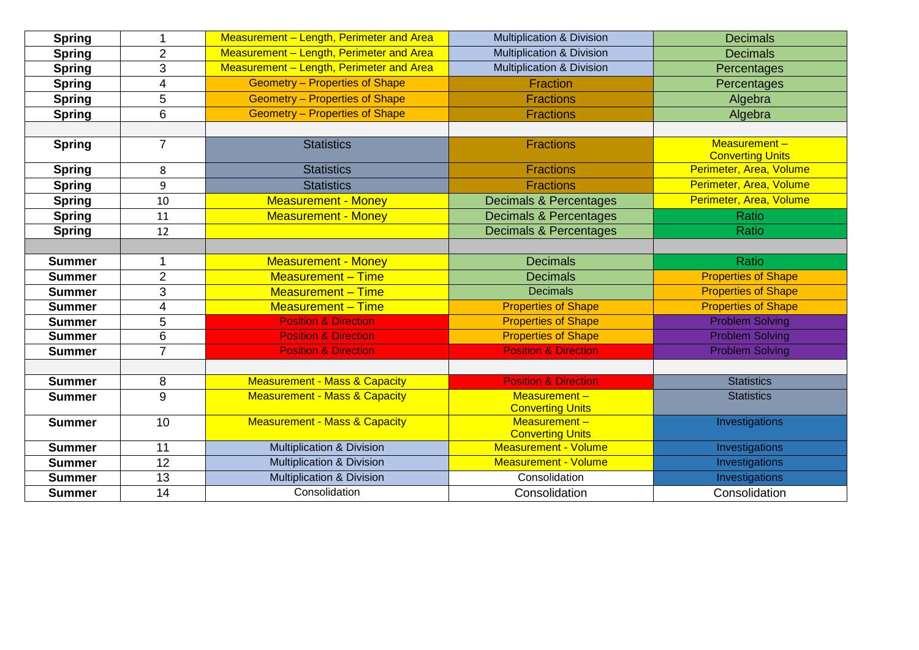| <b>Spring</b> | 1                                    | Measurement - Length, Perimeter and Area | <b>Multiplication &amp; Division</b><br><b>Decimals</b> |                                         |  |  |  |
|---------------|--------------------------------------|------------------------------------------|---------------------------------------------------------|-----------------------------------------|--|--|--|
| <b>Spring</b> | $\overline{2}$                       | Measurement - Length, Perimeter and Area | <b>Multiplication &amp; Division</b>                    | <b>Decimals</b>                         |  |  |  |
| <b>Spring</b> | 3                                    | Measurement - Length, Perimeter and Area | <b>Multiplication &amp; Division</b>                    | Percentages                             |  |  |  |
| <b>Spring</b> | 4                                    | <b>Geometry - Properties of Shape</b>    | <b>Fraction</b>                                         | Percentages                             |  |  |  |
| <b>Spring</b> | 5                                    | <b>Geometry - Properties of Shape</b>    | <b>Fractions</b>                                        | Algebra                                 |  |  |  |
| <b>Spring</b> | $6\phantom{1}6$                      | <b>Geometry - Properties of Shape</b>    | <b>Fractions</b>                                        | Algebra                                 |  |  |  |
|               |                                      |                                          |                                                         |                                         |  |  |  |
| <b>Spring</b> | $\overline{7}$                       | <b>Statistics</b>                        | <b>Fractions</b>                                        | Measurement-<br><b>Converting Units</b> |  |  |  |
| <b>Spring</b> | 8                                    | <b>Statistics</b>                        | <b>Fractions</b>                                        | Perimeter, Area, Volume                 |  |  |  |
| <b>Spring</b> | 9                                    | <b>Statistics</b>                        | <b>Fractions</b>                                        | Perimeter, Area, Volume                 |  |  |  |
| <b>Spring</b> | 10                                   | <b>Measurement - Money</b>               | <b>Decimals &amp; Percentages</b>                       | Perimeter, Area, Volume                 |  |  |  |
| <b>Spring</b> | 11                                   | <b>Measurement - Money</b>               | Decimals & Percentages                                  | Ratio                                   |  |  |  |
| <b>Spring</b> | 12                                   |                                          | <b>Decimals &amp; Percentages</b>                       | Ratio                                   |  |  |  |
|               |                                      |                                          |                                                         |                                         |  |  |  |
| <b>Summer</b> | $\overline{1}$                       | <b>Measurement - Money</b>               | <b>Decimals</b>                                         | <b>Ratio</b>                            |  |  |  |
| <b>Summer</b> | $\overline{2}$                       | <b>Measurement - Time</b>                | <b>Decimals</b>                                         | <b>Properties of Shape</b>              |  |  |  |
| <b>Summer</b> | 3                                    | <b>Measurement - Time</b>                | <b>Decimals</b>                                         | <b>Properties of Shape</b>              |  |  |  |
| <b>Summer</b> | 4                                    | <b>Measurement - Time</b>                | <b>Properties of Shape</b>                              | <b>Properties of Shape</b>              |  |  |  |
| <b>Summer</b> | 5                                    | <b>Position &amp; Direction</b>          | <b>Properties of Shape</b>                              | <b>Problem Solving</b>                  |  |  |  |
| <b>Summer</b> | $6\phantom{1}6$                      | <b>Position &amp; Direction</b>          | <b>Properties of Shape</b>                              | <b>Problem Solving</b>                  |  |  |  |
| <b>Summer</b> | $\overline{7}$                       | <b>Position &amp; Direction</b>          | <b>Position &amp; Direction</b>                         | <b>Problem Solving</b>                  |  |  |  |
|               |                                      |                                          |                                                         |                                         |  |  |  |
| <b>Summer</b> | 8                                    | <b>Measurement - Mass &amp; Capacity</b> | <b>Position &amp; Direction</b>                         | <b>Statistics</b>                       |  |  |  |
| <b>Summer</b> | 9                                    | <b>Measurement - Mass &amp; Capacity</b> | Measurement-<br><b>Converting Units</b>                 | <b>Statistics</b>                       |  |  |  |
| <b>Summer</b> | 10                                   | <b>Measurement - Mass &amp; Capacity</b> | $Measurement -$<br><b>Converting Units</b>              | Investigations                          |  |  |  |
| <b>Summer</b> | 11                                   | <b>Multiplication &amp; Division</b>     | <b>Measurement - Volume</b>                             | Investigations                          |  |  |  |
| <b>Summer</b> | 12                                   | <b>Multiplication &amp; Division</b>     | <b>Measurement - Volume</b>                             | Investigations                          |  |  |  |
| <b>Summer</b> | 13                                   | <b>Multiplication &amp; Division</b>     | Consolidation                                           | Investigations                          |  |  |  |
| <b>Summer</b> | Consolidation<br>Consolidation<br>14 |                                          | Consolidation                                           |                                         |  |  |  |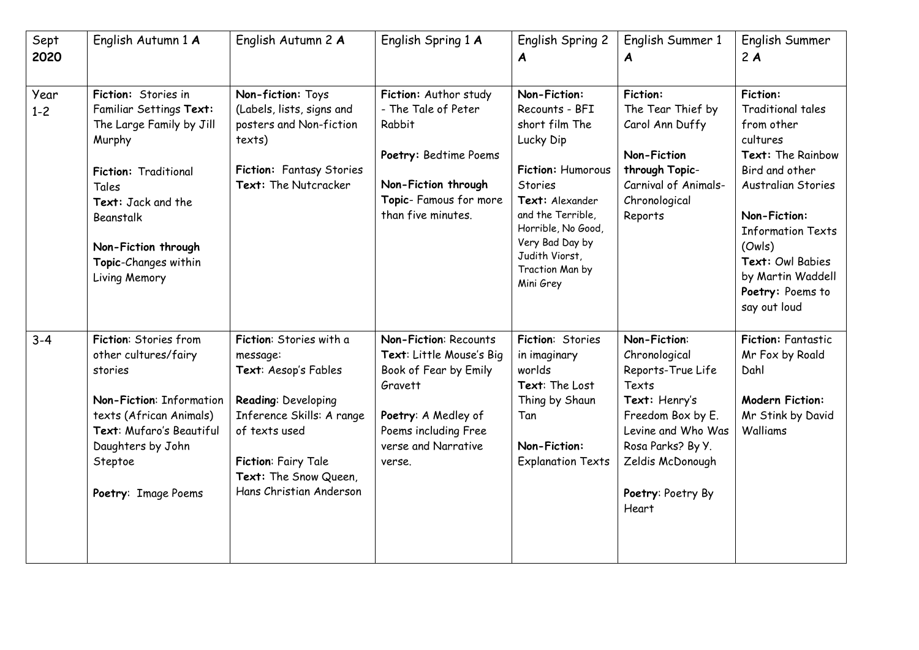| Sept<br>2020    | English Autumn 1 A                                                                                                                                                                                                       | English Autumn 2 A                                                                                                                                                                                          | English Spring 1 A                                                                                                                                                           | English Spring 2<br>A                                                                                                                                                                                                                   | English Summer 1<br>A                                                                                                                                                                          | English Summer<br>2A                                                                                                                                                                                                                                                         |
|-----------------|--------------------------------------------------------------------------------------------------------------------------------------------------------------------------------------------------------------------------|-------------------------------------------------------------------------------------------------------------------------------------------------------------------------------------------------------------|------------------------------------------------------------------------------------------------------------------------------------------------------------------------------|-----------------------------------------------------------------------------------------------------------------------------------------------------------------------------------------------------------------------------------------|------------------------------------------------------------------------------------------------------------------------------------------------------------------------------------------------|------------------------------------------------------------------------------------------------------------------------------------------------------------------------------------------------------------------------------------------------------------------------------|
| Year<br>$1 - 2$ | Fiction: Stories in<br>Familiar Settings Text:<br>The Large Family by Jill<br>Murphy<br>Fiction: Traditional<br>Tales<br>Text: Jack and the<br>Beanstalk<br>Non-Fiction through<br>Topic-Changes within<br>Living Memory | Non-fiction: Toys<br>(Labels, lists, signs and<br>posters and Non-fiction<br>texts)<br>Fiction: Fantasy Stories<br>Text: The Nutcracker                                                                     | Fiction: Author study<br>- The Tale of Peter<br>Rabbit<br>Poetry: Bedtime Poems<br>Non-Fiction through<br>Topic- Famous for more<br>than five minutes.                       | Non-Fiction:<br>Recounts - BFI<br>short film The<br>Lucky Dip<br>Fiction: Humorous<br><b>Stories</b><br>Text: Alexander<br>and the Terrible,<br>Horrible, No Good,<br>Very Bad Day by<br>Judith Viorst,<br>Traction Man by<br>Mini Grey | <b>Fiction:</b><br>The Tear Thief by<br>Carol Ann Duffy<br><b>Non-Fiction</b><br>through Topic-<br>Carnival of Animals-<br>Chronological<br>Reports                                            | <b>Fiction:</b><br><b>Traditional tales</b><br>from other<br>cultures<br>Text: The Rainbow<br>Bird and other<br><b>Australian Stories</b><br>Non-Fiction:<br><b>Information Texts</b><br>(Ow s)<br>Text: Owl Babies<br>by Martin Waddell<br>Poetry: Poems to<br>say out loud |
| $3 - 4$         | Fiction: Stories from<br>other cultures/fairy<br>stories<br>Non-Fiction: Information<br>texts (African Animals)<br>Text: Mufaro's Beautiful<br>Daughters by John<br>Steptoe<br>Poetry: Image Poems                       | Fiction: Stories with a<br>message:<br>Text: Aesop's Fables<br>Reading: Developing<br>Inference Skills: A range<br>of texts used<br>Fiction: Fairy Tale<br>Text: The Snow Queen,<br>Hans Christian Anderson | <b>Non-Fiction: Recounts</b><br>Text: Little Mouse's Big<br>Book of Fear by Emily<br>Gravett<br>Poetry: A Medley of<br>Poems including Free<br>verse and Narrative<br>verse. | Fiction: Stories<br>in imaginary<br>worlds<br>Text: The Lost<br>Thing by Shaun<br>Tan<br>Non-Fiction:<br><b>Explanation Texts</b>                                                                                                       | Non-Fiction:<br>Chronological<br>Reports-True Life<br>Texts<br>Text: Henry's<br>Freedom Box by E.<br>Levine and Who Was<br>Rosa Parks? By Y.<br>Zeldis McDonough<br>Poetry: Poetry By<br>Heart | <b>Fiction: Fantastic</b><br>Mr Fox by Roald<br>Dahl<br><b>Modern Fiction:</b><br>Mr Stink by David<br>Walliams                                                                                                                                                              |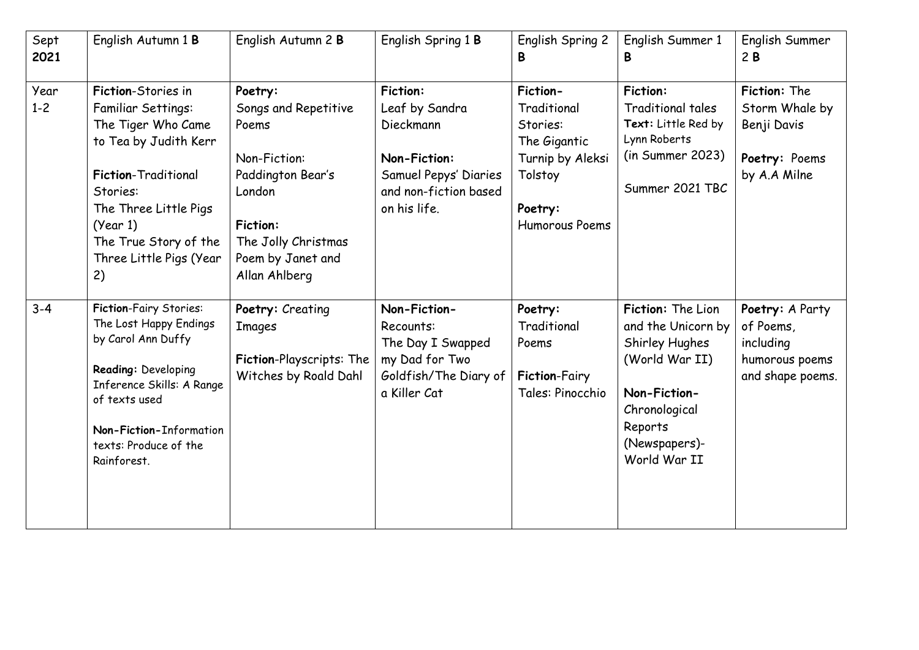| Sept<br>2021    | English Autumn 1 B                                                                                                                                                                                                        | English Autumn 2 B                                                                                                                                                      | English Spring 1 B                                                                                                               | English Spring 2<br>В                                                                                           | English Summer 1<br>B                                                                                                                                    | English Summer<br>2B                                                            |
|-----------------|---------------------------------------------------------------------------------------------------------------------------------------------------------------------------------------------------------------------------|-------------------------------------------------------------------------------------------------------------------------------------------------------------------------|----------------------------------------------------------------------------------------------------------------------------------|-----------------------------------------------------------------------------------------------------------------|----------------------------------------------------------------------------------------------------------------------------------------------------------|---------------------------------------------------------------------------------|
| Year<br>$1 - 2$ | Fiction-Stories in<br>Familiar Settings:<br>The Tiger Who Came<br>to Tea by Judith Kerr<br>Fiction-Traditional<br>Stories:<br>The Three Little Pigs<br>(Year 1)<br>The True Story of the<br>Three Little Pigs (Year<br>2) | Poetry:<br>Songs and Repetitive<br>Poems<br>Non-Fiction:<br>Paddington Bear's<br>London<br><b>Fiction:</b><br>The Jolly Christmas<br>Poem by Janet and<br>Allan Ahlberg | <b>Fiction:</b><br>Leaf by Sandra<br>Dieckmann<br>Non-Fiction:<br>Samuel Pepys' Diaries<br>and non-fiction based<br>on his life. | Fiction-<br>Traditional<br>Stories:<br>The Gigantic<br>Turnip by Aleksi<br>Tolstoy<br>Poetry:<br>Humorous Poems | <b>Fiction:</b><br><b>Traditional tales</b><br>Text: Little Red by<br>Lynn Roberts<br>(in Summer 2023)<br>Summer 2021 TBC                                | Fiction: The<br>Storm Whale by<br>Benji Davis<br>Poetry: Poems<br>by A.A Milne  |
| $3 - 4$         | <b>Fiction-Fairy Stories:</b><br>The Lost Happy Endings<br>by Carol Ann Duffy<br>Reading: Developing<br>Inference Skills: A Range<br>of texts used<br>Non-Fiction-Information<br>texts: Produce of the<br>Rainforest.     | Poetry: Creating<br><b>Images</b><br>Fiction-Playscripts: The<br>Witches by Roald Dahl                                                                                  | Non-Fiction-<br>Recounts:<br>The Day I Swapped<br>my Dad for Two<br>Goldfish/The Diary of<br>a Killer Cat                        | Poetry:<br>Traditional<br>Poems<br><b>Fiction-Fairy</b><br>Tales: Pinocchio                                     | Fiction: The Lion<br>and the Unicorn by<br>Shirley Hughes<br>(World War II)<br>Non-Fiction-<br>Chronological<br>Reports<br>(Newspapers)-<br>World War II | Poetry: A Party<br>of Poems,<br>including<br>humorous poems<br>and shape poems. |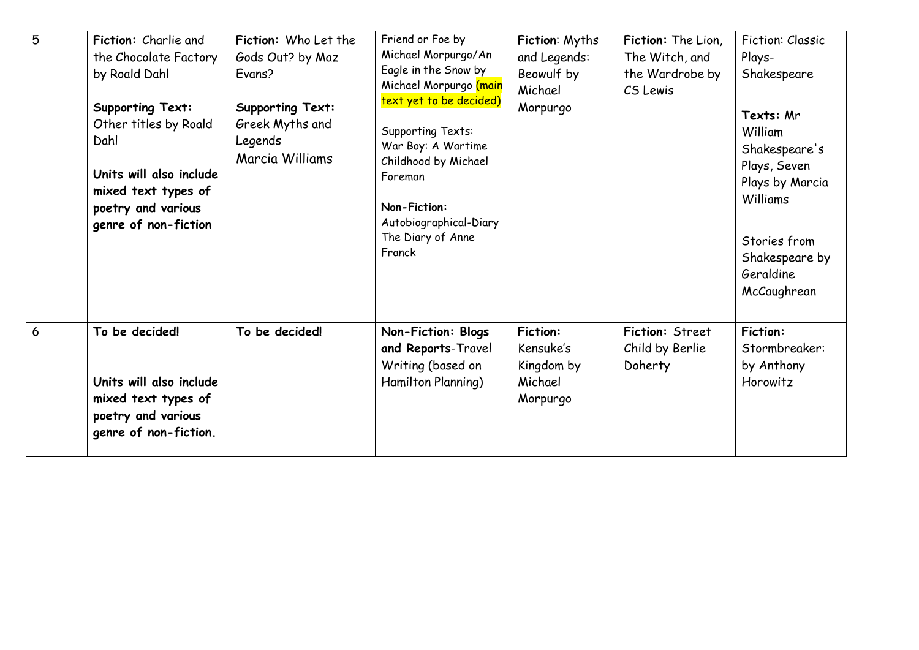| 5 | Fiction: Charlie and<br>the Chocolate Factory<br>by Roald Dahl<br><b>Supporting Text:</b><br>Other titles by Roald<br>Dahl<br>Units will also include<br>mixed text types of<br>poetry and various<br>genre of non-fiction | Fiction: Who Let the<br>Gods Out? by Maz<br>Evans?<br><b>Supporting Text:</b><br>Greek Myths and<br>Legends<br>Marcia Williams | Friend or Foe by<br>Michael Morpurgo/An<br>Eagle in the Snow by<br>Michael Morpurgo (main<br>text yet to be decided)<br><b>Supporting Texts:</b><br>War Boy: A Wartime<br>Childhood by Michael<br>Foreman<br>Non-Fiction:<br>Autobiographical-Diary<br>The Diary of Anne<br>Franck | Fiction: Myths<br>and Legends:<br>Beowulf by<br>Michael<br>Morpurgo | Fiction: The Lion,<br>The Witch, and<br>the Wardrobe by<br>CS Lewis | Fiction: Classic<br>Plays-<br>Shakespeare<br>Texts: Mr<br>William<br>Shakespeare's<br>Plays, Seven<br>Plays by Marcia<br>Williams<br>Stories from<br>Shakespeare by<br>Geraldine<br>McCaughrean |
|---|----------------------------------------------------------------------------------------------------------------------------------------------------------------------------------------------------------------------------|--------------------------------------------------------------------------------------------------------------------------------|------------------------------------------------------------------------------------------------------------------------------------------------------------------------------------------------------------------------------------------------------------------------------------|---------------------------------------------------------------------|---------------------------------------------------------------------|-------------------------------------------------------------------------------------------------------------------------------------------------------------------------------------------------|
| 6 | To be decided!<br>Units will also include<br>mixed text types of<br>poetry and various<br>genre of non-fiction.                                                                                                            | To be decided!                                                                                                                 | Non-Fiction: Blogs<br>and Reports-Travel<br>Writing (based on<br>Hamilton Planning)                                                                                                                                                                                                | <b>Fiction:</b><br>Kensuke's<br>Kingdom by<br>Michael<br>Morpurgo   | Fiction: Street<br>Child by Berlie<br>Doherty                       | <b>Fiction:</b><br>Stormbreaker:<br>by Anthony<br>Horowitz                                                                                                                                      |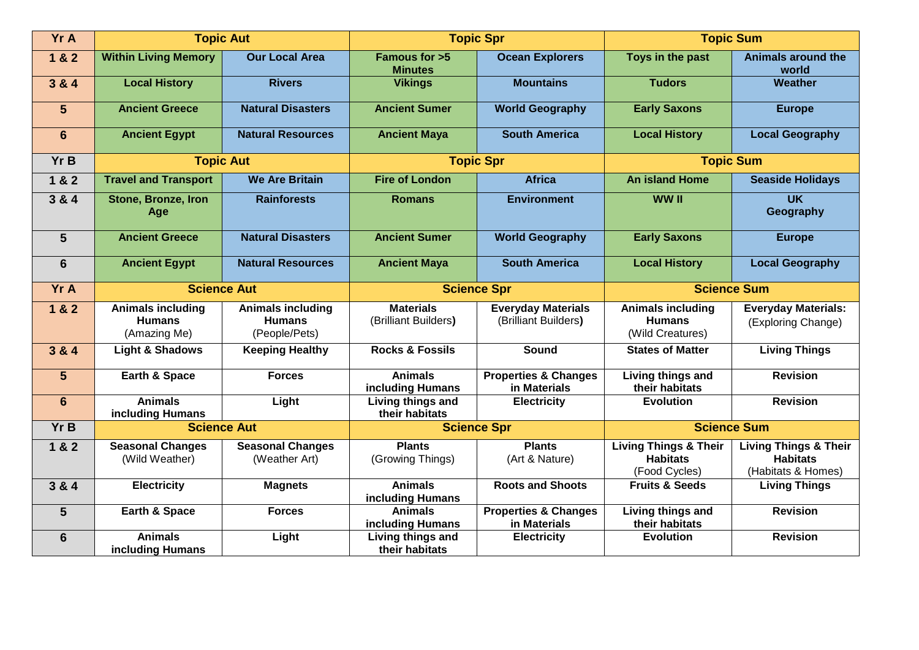| Yr A            |                                                           | <b>Topic Aut</b>                                           |                                          | <b>Topic Spr</b>                                  | <b>Topic Sum</b>                                                     |                                                                           |  |
|-----------------|-----------------------------------------------------------|------------------------------------------------------------|------------------------------------------|---------------------------------------------------|----------------------------------------------------------------------|---------------------------------------------------------------------------|--|
| 1 & 2           | <b>Within Living Memory</b>                               | <b>Our Local Area</b>                                      | Famous for >5<br><b>Minutes</b>          | <b>Ocean Explorers</b>                            | Toys in the past                                                     | <b>Animals around the</b><br>world                                        |  |
| 3 & 4           | <b>Local History</b>                                      | <b>Rivers</b>                                              | <b>Vikings</b>                           | <b>Mountains</b>                                  | <b>Tudors</b>                                                        | Weather                                                                   |  |
| $5\phantom{1}$  | <b>Ancient Greece</b>                                     | <b>Natural Disasters</b>                                   | <b>Ancient Sumer</b>                     | <b>World Geography</b>                            | <b>Early Saxons</b>                                                  | <b>Europe</b>                                                             |  |
| 6               | <b>Ancient Egypt</b>                                      | <b>Natural Resources</b>                                   | <b>Ancient Maya</b>                      | <b>South America</b>                              | <b>Local History</b>                                                 | <b>Local Geography</b>                                                    |  |
| Yr B            | <b>Topic Aut</b>                                          |                                                            |                                          | <b>Topic Spr</b>                                  |                                                                      | <b>Topic Sum</b>                                                          |  |
| 1 & 2           | <b>Travel and Transport</b>                               | <b>We Are Britain</b>                                      | <b>Fire of London</b>                    | <b>Africa</b>                                     | <b>An island Home</b>                                                | <b>Seaside Holidays</b>                                                   |  |
| 3 & 4           | Stone, Bronze, Iron<br>Age                                | <b>Rainforests</b>                                         | <b>Romans</b>                            | <b>Environment</b>                                | WW II                                                                | $\overline{\mathsf{UK}}$<br>Geography                                     |  |
| $5\phantom{1}$  | <b>Ancient Greece</b>                                     | <b>Natural Disasters</b>                                   | <b>Ancient Sumer</b>                     | <b>World Geography</b>                            | <b>Early Saxons</b>                                                  | <b>Europe</b>                                                             |  |
| $6\phantom{1}6$ | <b>Ancient Egypt</b>                                      | <b>Natural Resources</b>                                   | <b>Ancient Maya</b>                      | <b>South America</b>                              | <b>Local History</b>                                                 | <b>Local Geography</b>                                                    |  |
| Yr A            |                                                           | <b>Science Aut</b>                                         |                                          | <b>Science Spr</b>                                | <b>Science Sum</b>                                                   |                                                                           |  |
| 1 & 2           | <b>Animals including</b><br><b>Humans</b><br>(Amazing Me) | <b>Animals including</b><br><b>Humans</b><br>(People/Pets) | <b>Materials</b><br>(Brilliant Builders) | <b>Everyday Materials</b><br>(Brilliant Builders) | <b>Animals including</b><br><b>Humans</b><br>(Wild Creatures)        | <b>Everyday Materials:</b><br>(Exploring Change)                          |  |
| 3 & 4           | <b>Light &amp; Shadows</b>                                | <b>Keeping Healthy</b>                                     | <b>Rocks &amp; Fossils</b>               | <b>Sound</b>                                      | <b>States of Matter</b>                                              | <b>Living Things</b>                                                      |  |
| $5\phantom{1}$  | Earth & Space                                             | <b>Forces</b>                                              | <b>Animals</b><br>including Humans       | <b>Properties &amp; Changes</b><br>in Materials   | Living things and<br>their habitats                                  | <b>Revision</b>                                                           |  |
| 6               | <b>Animals</b><br>including Humans                        | Light                                                      | Living things and<br>their habitats      | <b>Electricity</b>                                | <b>Evolution</b>                                                     | <b>Revision</b>                                                           |  |
| Yr B            |                                                           | <b>Science Aut</b>                                         |                                          | <b>Science Spr</b>                                | <b>Science Sum</b>                                                   |                                                                           |  |
| 1 & 2           | <b>Seasonal Changes</b><br>(Wild Weather)                 | <b>Seasonal Changes</b><br>(Weather Art)                   | $Pl = Rl$<br>(Growing Things)            | <b>Plants</b><br>(Art & Nature)                   | <b>Living Things &amp; Their</b><br><b>Habitats</b><br>(Food Cycles) | <b>Living Things &amp; Their</b><br><b>Habitats</b><br>(Habitats & Homes) |  |
| 3 & 4           | <b>Electricity</b>                                        | <b>Magnets</b>                                             | <b>Animals</b><br>including Humans       | <b>Roots and Shoots</b>                           | <b>Fruits &amp; Seeds</b>                                            | <b>Living Things</b>                                                      |  |
| 5               | Earth & Space                                             | <b>Forces</b>                                              | <b>Animals</b><br>including Humans       | <b>Properties &amp; Changes</b><br>in Materials   | Living things and<br>their habitats                                  | <b>Revision</b>                                                           |  |
| $6\phantom{1}6$ | <b>Animals</b><br>including Humans                        | Light                                                      | Living things and<br>their habitats      | <b>Electricity</b>                                | <b>Evolution</b>                                                     | <b>Revision</b>                                                           |  |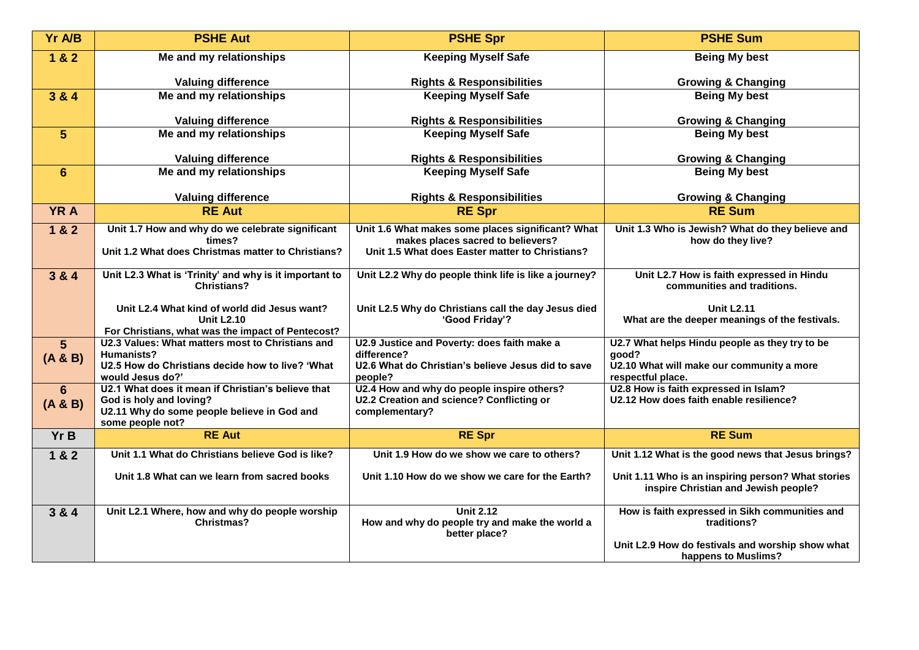| Yr A/B                    | <b>PSHE Aut</b>                                                               | <b>PSHE Spr</b>                                                                         | <b>PSHE Sum</b>                                                                            |
|---------------------------|-------------------------------------------------------------------------------|-----------------------------------------------------------------------------------------|--------------------------------------------------------------------------------------------|
| 1 & 2                     | Me and my relationships                                                       | <b>Keeping Myself Safe</b>                                                              | <b>Being My best</b>                                                                       |
|                           | <b>Valuing difference</b>                                                     | <b>Rights &amp; Responsibilities</b>                                                    | <b>Growing &amp; Changing</b>                                                              |
| 3 & 4                     | Me and my relationships                                                       | <b>Keeping Myself Safe</b>                                                              | <b>Being My best</b>                                                                       |
|                           | <b>Valuing difference</b>                                                     | <b>Rights &amp; Responsibilities</b>                                                    | <b>Growing &amp; Changing</b>                                                              |
| 5                         | Me and my relationships                                                       | <b>Keeping Myself Safe</b>                                                              | <b>Being My best</b>                                                                       |
|                           | <b>Valuing difference</b>                                                     | <b>Rights &amp; Responsibilities</b>                                                    | <b>Growing &amp; Changing</b>                                                              |
| $6\phantom{1}$            | Me and my relationships                                                       | <b>Keeping Myself Safe</b>                                                              | <b>Being My best</b>                                                                       |
|                           | <b>Valuing difference</b>                                                     | <b>Rights &amp; Responsibilities</b>                                                    | <b>Growing &amp; Changing</b>                                                              |
| <b>YRA</b>                | <b>RE Aut</b>                                                                 | <b>RE Spr</b>                                                                           | <b>RE Sum</b>                                                                              |
| 1 & 2                     | Unit 1.7 How and why do we celebrate significant<br>times?                    | Unit 1.6 What makes some places significant? What<br>makes places sacred to believers?  | Unit 1.3 Who is Jewish? What do they believe and<br>how do they live?                      |
|                           | Unit 1.2 What does Christmas matter to Christians?                            | Unit 1.5 What does Easter matter to Christians?                                         |                                                                                            |
| 3 & 4                     | Unit L2.3 What is 'Trinity' and why is it important to                        | Unit L2.2 Why do people think life is like a journey?                                   | Unit L2.7 How is faith expressed in Hindu                                                  |
|                           | <b>Christians?</b>                                                            |                                                                                         | communities and traditions.                                                                |
|                           | Unit L2.4 What kind of world did Jesus want?<br><b>Unit L2.10</b>             | Unit L2.5 Why do Christians call the day Jesus died<br>'Good Friday'?                   | <b>Unit L2.11</b><br>What are the deeper meanings of the festivals.                        |
|                           | For Christians, what was the impact of Pentecost?                             |                                                                                         |                                                                                            |
| 5 <sup>5</sup><br>(A & B) | U2.3 Values: What matters most to Christians and<br>Humanists?                | U2.9 Justice and Poverty: does faith make a<br>difference?                              | U2.7 What helps Hindu people as they try to be<br>qood?                                    |
|                           | U2.5 How do Christians decide how to live? 'What<br>would Jesus do?'          | U2.6 What do Christian's believe Jesus did to save<br>people?                           | U2.10 What will make our community a more<br>respectful place.                             |
| 6                         | U2.1 What does it mean if Christian's believe that<br>God is holy and loving? | U2.4 How and why do people inspire others?<br>U2.2 Creation and science? Conflicting or | U2.8 How is faith expressed in Islam?<br>U2.12 How does faith enable resilience?           |
| (A & B)                   | U2.11 Why do some people believe in God and                                   | complementary?                                                                          |                                                                                            |
| Yr B                      | some people not?<br><b>RE Aut</b>                                             | <b>RE Spr</b>                                                                           | <b>RE Sum</b>                                                                              |
| 1 & 2                     | Unit 1.1 What do Christians believe God is like?                              | Unit 1.9 How do we show we care to others?                                              | Unit 1.12 What is the good news that Jesus brings?                                         |
|                           | Unit 1.8 What can we learn from sacred books                                  | Unit 1.10 How do we show we care for the Earth?                                         | Unit 1.11 Who is an inspiring person? What stories<br>inspire Christian and Jewish people? |
| 3 & 4                     | Unit L2.1 Where, how and why do people worship                                | <b>Unit 2.12</b>                                                                        | How is faith expressed in Sikh communities and                                             |
|                           | <b>Christmas?</b>                                                             | How and why do people try and make the world a<br>better place?                         | traditions?                                                                                |
|                           |                                                                               |                                                                                         | Unit L2.9 How do festivals and worship show what<br>happens to Muslims?                    |
|                           |                                                                               |                                                                                         |                                                                                            |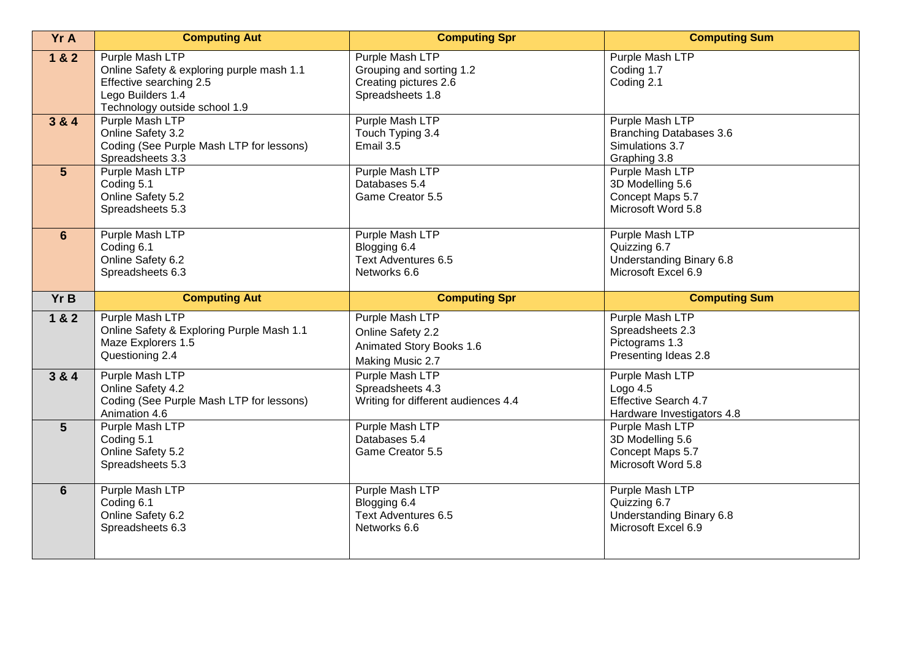| <b>Yr A</b>    | <b>Computing Aut</b>                                                                                                                          | <b>Computing Spr</b>                                                                     | <b>Computing Sum</b>                                                                 |
|----------------|-----------------------------------------------------------------------------------------------------------------------------------------------|------------------------------------------------------------------------------------------|--------------------------------------------------------------------------------------|
| 1 & 2          | Purple Mash LTP<br>Online Safety & exploring purple mash 1.1<br>Effective searching 2.5<br>Lego Builders 1.4<br>Technology outside school 1.9 | Purple Mash LTP<br>Grouping and sorting 1.2<br>Creating pictures 2.6<br>Spreadsheets 1.8 | Purple Mash LTP<br>Coding 1.7<br>Coding 2.1                                          |
| 3 & 4          | Purple Mash LTP<br>Online Safety 3.2<br>Coding (See Purple Mash LTP for lessons)<br>Spreadsheets 3.3                                          | Purple Mash LTP<br>Touch Typing 3.4<br>Email 3.5                                         | Purple Mash LTP<br><b>Branching Databases 3.6</b><br>Simulations 3.7<br>Graphing 3.8 |
| $5\phantom{1}$ | Purple Mash LTP<br>Coding 5.1<br>Online Safety 5.2<br>Spreadsheets 5.3                                                                        | Purple Mash LTP<br>Databases 5.4<br>Game Creator 5.5                                     | Purple Mash LTP<br>3D Modelling 5.6<br>Concept Maps 5.7<br>Microsoft Word 5.8        |
| 6              | Purple Mash LTP<br>Coding 6.1<br>Online Safety 6.2<br>Spreadsheets 6.3                                                                        | Purple Mash LTP<br>Blogging 6.4<br>Text Adventures 6.5<br>Networks 6.6                   | Purple Mash LTP<br>Quizzing 6.7<br>Understanding Binary 6.8<br>Microsoft Excel 6.9   |
| Yr B           | <b>Computing Aut</b>                                                                                                                          | <b>Computing Spr</b>                                                                     | <b>Computing Sum</b>                                                                 |
| 1 & 2          | Purple Mash LTP<br>Online Safety & Exploring Purple Mash 1.1<br>Maze Explorers 1.5<br>Questioning 2.4                                         | Purple Mash LTP<br>Online Safety 2.2<br>Animated Story Books 1.6<br>Making Music 2.7     | Purple Mash LTP<br>Spreadsheets 2.3<br>Pictograms 1.3<br>Presenting Ideas 2.8        |
| 3 & 4          | Purple Mash LTP<br>Online Safety 4.2<br>Coding (See Purple Mash LTP for lessons)<br>Animation 4.6                                             | Purple Mash LTP<br>Spreadsheets 4.3<br>Writing for different audiences 4.4               | Purple Mash LTP<br>Logo $4.5$<br>Effective Search 4.7<br>Hardware Investigators 4.8  |
| 5              | Purple Mash LTP<br>Coding 5.1<br>Online Safety 5.2<br>Spreadsheets 5.3                                                                        | Purple Mash LTP<br>Databases 5.4<br>Game Creator 5.5                                     | Purple Mash LTP<br>3D Modelling 5.6<br>Concept Maps 5.7<br>Microsoft Word 5.8        |
| 6              | Purple Mash LTP<br>Coding 6.1<br>Online Safety 6.2<br>Spreadsheets 6.3                                                                        | Purple Mash LTP<br>Blogging 6.4<br>Text Adventures 6.5<br>Networks 6.6                   | Purple Mash LTP<br>Quizzing 6.7<br>Understanding Binary 6.8<br>Microsoft Excel 6.9   |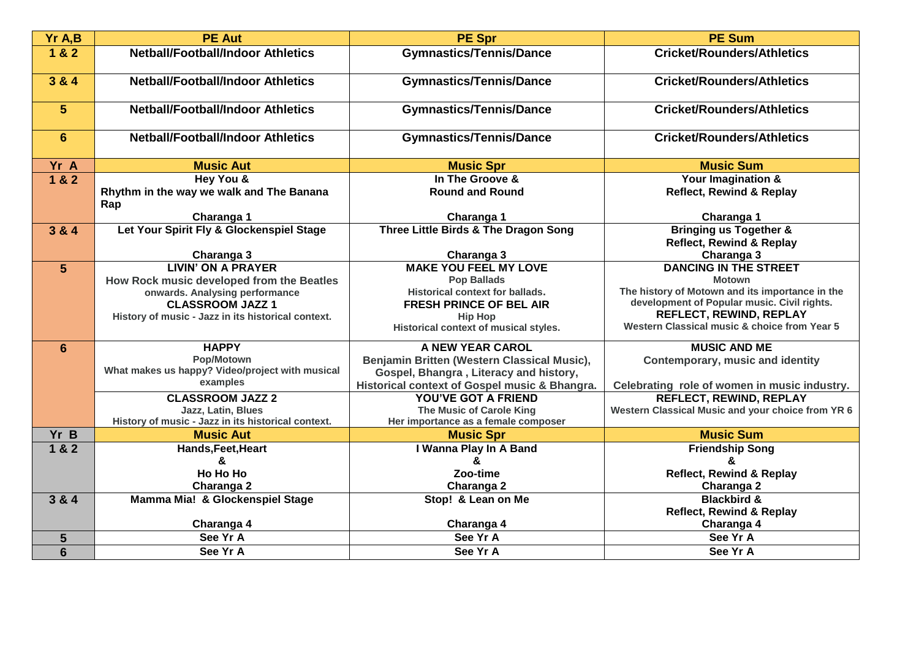| Yr A,B          | <b>PE Aut</b>                                      | <b>PE Spr</b>                                 | <b>PE Sum</b>                                                                  |
|-----------------|----------------------------------------------------|-----------------------------------------------|--------------------------------------------------------------------------------|
| 1 & 2           | <b>Netball/Football/Indoor Athletics</b>           | <b>Gymnastics/Tennis/Dance</b>                | <b>Cricket/Rounders/Athletics</b>                                              |
| 3 & 4           | <b>Netball/Football/Indoor Athletics</b>           | <b>Gymnastics/Tennis/Dance</b>                | <b>Cricket/Rounders/Athletics</b>                                              |
| $\overline{5}$  | <b>Netball/Football/Indoor Athletics</b>           | <b>Gymnastics/Tennis/Dance</b>                | <b>Cricket/Rounders/Athletics</b>                                              |
| $6\phantom{1}$  | <b>Netball/Football/Indoor Athletics</b>           | <b>Gymnastics/Tennis/Dance</b>                | <b>Cricket/Rounders/Athletics</b>                                              |
| Yr A            | <b>Music Aut</b>                                   | <b>Music Spr</b>                              | <b>Music Sum</b>                                                               |
| 1 & 2           | Hey You &                                          | In The Groove &                               | <b>Your Imagination &amp;</b>                                                  |
|                 | Rhythm in the way we walk and The Banana<br>Rap    | <b>Round and Round</b>                        | <b>Reflect, Rewind &amp; Replay</b>                                            |
|                 | Charanga 1                                         | Charanga 1                                    | Charanga 1                                                                     |
| 3 & 4           | Let Your Spirit Fly & Glockenspiel Stage           | Three Little Birds & The Dragon Song          | <b>Bringing us Together &amp;</b><br><b>Reflect, Rewind &amp; Replay</b>       |
|                 | Charanga 3                                         | Charanga 3                                    | Charanga 3                                                                     |
| $5\phantom{.}$  | <b>LIVIN' ON A PRAYER</b>                          | <b>MAKE YOU FEEL MY LOVE</b>                  | <b>DANCING IN THE STREET</b>                                                   |
|                 | How Rock music developed from the Beatles          | <b>Pop Ballads</b>                            | <b>Motown</b>                                                                  |
|                 | onwards. Analysing performance                     | <b>Historical context for ballads.</b>        | The history of Motown and its importance in the                                |
|                 | <b>CLASSROOM JAZZ 1</b>                            | <b>FRESH PRINCE OF BEL AIR</b>                | development of Popular music. Civil rights.                                    |
|                 | History of music - Jazz in its historical context. | <b>Hip Hop</b>                                | <b>REFLECT, REWIND, REPLAY</b><br>Western Classical music & choice from Year 5 |
|                 |                                                    | Historical context of musical styles.         |                                                                                |
| $6\phantom{1}$  | <b>HAPPY</b>                                       | A NEW YEAR CAROL                              | <b>MUSIC AND ME</b>                                                            |
|                 | Pop/Motown                                         | Benjamin Britten (Western Classical Music),   | <b>Contemporary, music and identity</b>                                        |
|                 | What makes us happy? Video/project with musical    | Gospel, Bhangra, Literacy and history,        |                                                                                |
|                 | examples                                           | Historical context of Gospel music & Bhangra. | Celebrating role of women in music industry.                                   |
|                 | <b>CLASSROOM JAZZ 2</b>                            | <b>YOU'VE GOT A FRIEND</b>                    | REFLECT, REWIND, REPLAY                                                        |
|                 | Jazz, Latin, Blues                                 | The Music of Carole King                      | Western Classical Music and your choice from YR 6                              |
|                 | History of music - Jazz in its historical context. | Her importance as a female composer           |                                                                                |
| Yr B            | <b>Music Aut</b>                                   | <b>Music Spr</b>                              | <b>Music Sum</b>                                                               |
| 1 & 2           | Hands, Feet, Heart                                 | I Wanna Play In A Band                        | <b>Friendship Song</b>                                                         |
|                 | &                                                  | &                                             | &                                                                              |
|                 | <b>Ho Ho Ho</b>                                    | Zoo-time                                      | <b>Reflect, Rewind &amp; Replay</b>                                            |
|                 | Charanga 2                                         | Charanga 2                                    | Charanga 2                                                                     |
| 3 & 4           | Mamma Mia! & Glockenspiel Stage                    | Stop! & Lean on Me                            | <b>Blackbird &amp;</b>                                                         |
|                 |                                                    |                                               | <b>Reflect, Rewind &amp; Replay</b>                                            |
|                 | Charanga 4                                         | Charanga 4                                    | Charanga 4                                                                     |
| 5               | See Yr A                                           | See Yr A                                      | See Yr A                                                                       |
| $6\phantom{1}6$ | See Yr A                                           | See Yr A                                      | See Yr A                                                                       |